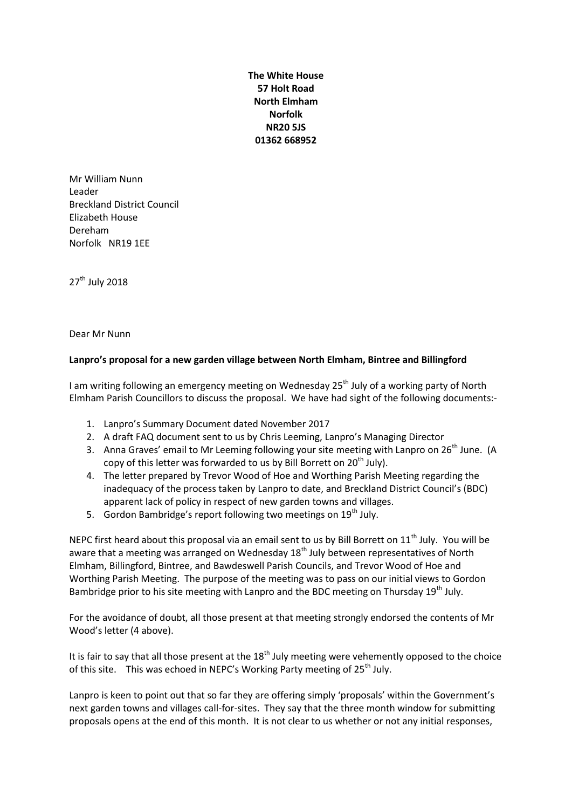**The White House 57 Holt Road North Elmham Norfolk NR20 5JS 01362 668952**

Mr William Nunn Leader Breckland District Council Elizabeth House Dereham Norfolk NR19 1EE

27<sup>th</sup> July 2018

Dear Mr Nunn

## **Lanpro's proposal for a new garden village between North Elmham, Bintree and Billingford**

I am writing following an emergency meeting on Wednesday 25<sup>th</sup> July of a working party of North Elmham Parish Councillors to discuss the proposal. We have had sight of the following documents:-

- 1. Lanpro's Summary Document dated November 2017
- 2. A draft FAQ document sent to us by Chris Leeming, Lanpro's Managing Director
- 3. Anna Graves' email to Mr Leeming following your site meeting with Lanpro on 26<sup>th</sup> June. (A copy of this letter was forwarded to us by Bill Borrett on  $20<sup>th</sup>$  July).
- 4. The letter prepared by Trevor Wood of Hoe and Worthing Parish Meeting regarding the inadequacy of the process taken by Lanpro to date, and Breckland District Council's (BDC) apparent lack of policy in respect of new garden towns and villages.
- 5. Gordon Bambridge's report following two meetings on  $19<sup>th</sup>$  July.

NEPC first heard about this proposal via an email sent to us by Bill Borrett on  $11<sup>th</sup>$  July. You will be aware that a meeting was arranged on Wednesday  $18<sup>th</sup>$  July between representatives of North Elmham, Billingford, Bintree, and Bawdeswell Parish Councils, and Trevor Wood of Hoe and Worthing Parish Meeting. The purpose of the meeting was to pass on our initial views to Gordon Bambridge prior to his site meeting with Lanpro and the BDC meeting on Thursday 19<sup>th</sup> July.

For the avoidance of doubt, all those present at that meeting strongly endorsed the contents of Mr Wood's letter (4 above).

It is fair to say that all those present at the  $18<sup>th</sup>$  July meeting were vehemently opposed to the choice of this site. This was echoed in NEPC's Working Party meeting of 25<sup>th</sup> July.

Lanpro is keen to point out that so far they are offering simply 'proposals' within the Government's next garden towns and villages call-for-sites. They say that the three month window for submitting proposals opens at the end of this month. It is not clear to us whether or not any initial responses,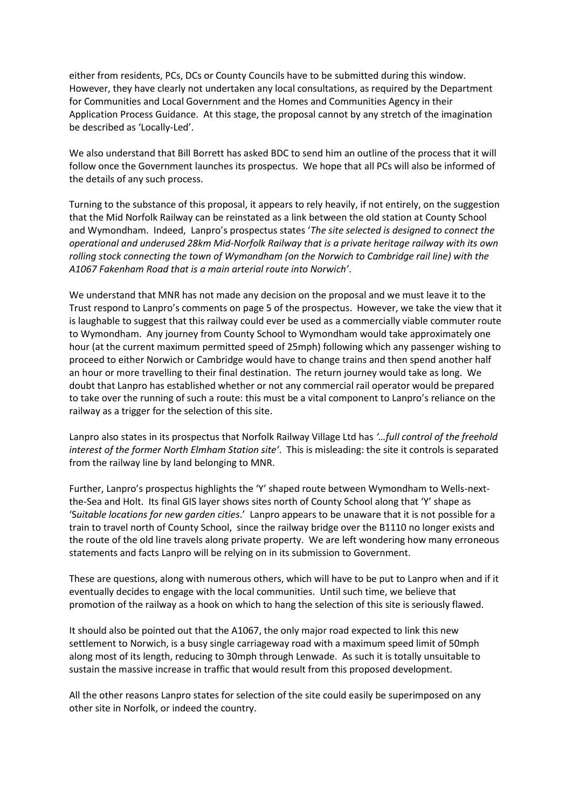either from residents, PCs, DCs or County Councils have to be submitted during this window. However, they have clearly not undertaken any local consultations, as required by the Department for Communities and Local Government and the Homes and Communities Agency in their Application Process Guidance. At this stage, the proposal cannot by any stretch of the imagination be described as 'Locally-Led'.

We also understand that Bill Borrett has asked BDC to send him an outline of the process that it will follow once the Government launches its prospectus. We hope that all PCs will also be informed of the details of any such process.

Turning to the substance of this proposal, it appears to rely heavily, if not entirely, on the suggestion that the Mid Norfolk Railway can be reinstated as a link between the old station at County School and Wymondham. Indeed, Lanpro's prospectus states '*The site selected is designed to connect the operational and underused 28km Mid-Norfolk Railway that is a private heritage railway with its own rolling stock connecting the town of Wymondham (on the Norwich to Cambridge rail line) with the A1067 Fakenham Road that is a main arterial route into Norwich'*.

We understand that MNR has not made any decision on the proposal and we must leave it to the Trust respond to Lanpro's comments on page 5 of the prospectus. However, we take the view that it is laughable to suggest that this railway could ever be used as a commercially viable commuter route to Wymondham. Any journey from County School to Wymondham would take approximately one hour (at the current maximum permitted speed of 25mph) following which any passenger wishing to proceed to either Norwich or Cambridge would have to change trains and then spend another half an hour or more travelling to their final destination. The return journey would take as long. We doubt that Lanpro has established whether or not any commercial rail operator would be prepared to take over the running of such a route: this must be a vital component to Lanpro's reliance on the railway as a trigger for the selection of this site.

Lanpro also states in its prospectus that Norfolk Railway Village Ltd has *'…full control of the freehold interest of the former North Elmham Station site'*. This is misleading: the site it controls is separated from the railway line by land belonging to MNR.

Further, Lanpro's prospectus highlights the 'Y' shaped route between Wymondham to Wells-nextthe-Sea and Holt. Its final GIS layer shows sites north of County School along that 'Y' shape as 'S*uitable locations for new garden cities*.' Lanpro appears to be unaware that it is not possible for a train to travel north of County School, since the railway bridge over the B1110 no longer exists and the route of the old line travels along private property. We are left wondering how many erroneous statements and facts Lanpro will be relying on in its submission to Government.

These are questions, along with numerous others, which will have to be put to Lanpro when and if it eventually decides to engage with the local communities. Until such time, we believe that promotion of the railway as a hook on which to hang the selection of this site is seriously flawed.

It should also be pointed out that the A1067, the only major road expected to link this new settlement to Norwich, is a busy single carriageway road with a maximum speed limit of 50mph along most of its length, reducing to 30mph through Lenwade. As such it is totally unsuitable to sustain the massive increase in traffic that would result from this proposed development.

All the other reasons Lanpro states for selection of the site could easily be superimposed on any other site in Norfolk, or indeed the country.